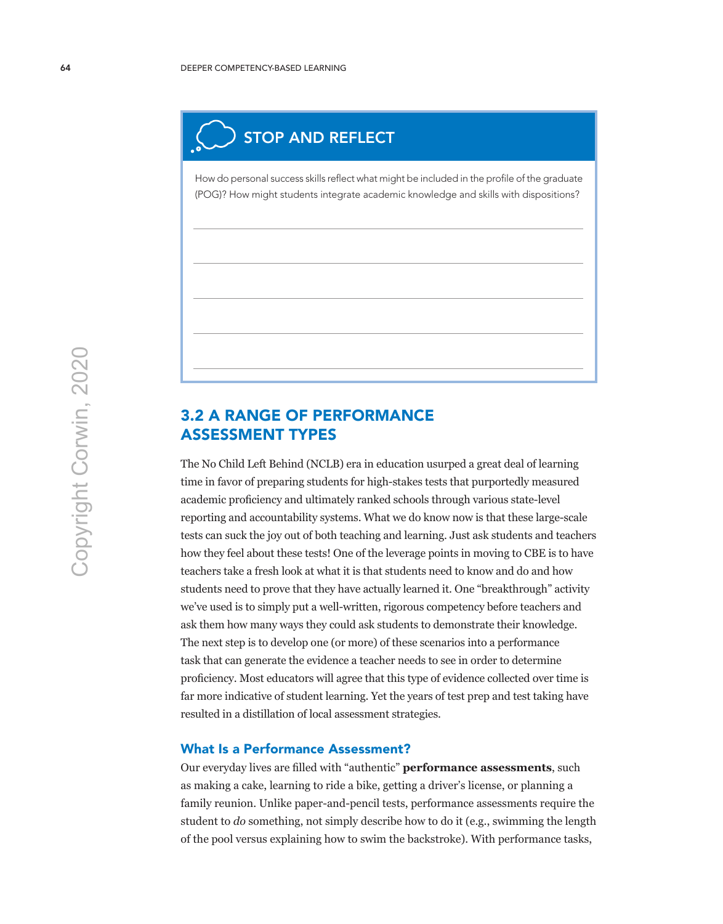

How do personal success skills reflect what might be included in the profile of the graduate (POG)? How might students integrate academic knowledge and skills with dispositions?

## 3.2 A RANGE OF PERFORMANCE ASSESSMENT TYPES

The No Child Left Behind (NCLB) era in education usurped a great deal of learning time in favor of preparing students for high-stakes tests that purportedly measured academic proficiency and ultimately ranked schools through various state-level reporting and accountability systems. What we do know now is that these large-scale tests can suck the joy out of both teaching and learning. Just ask students and teachers how they feel about these tests! One of the leverage points in moving to CBE is to have teachers take a fresh look at what it is that students need to know and do and how students need to prove that they have actually learned it. One "breakthrough" activity we've used is to simply put a well-written, rigorous competency before teachers and ask them how many ways they could ask students to demonstrate their knowledge. The next step is to develop one (or more) of these scenarios into a performance task that can generate the evidence a teacher needs to see in order to determine proficiency. Most educators will agree that this type of evidence collected over time is far more indicative of student learning. Yet the years of test prep and test taking have resulted in a distillation of local assessment strategies.

### What Is a Performance Assessment?

Our everyday lives are filled with "authentic" **performance assessments**, such as making a cake, learning to ride a bike, getting a driver's license, or planning a family reunion. Unlike paper-and-pencil tests, performance assessments require the student to *do* something, not simply describe how to do it (e.g., swimming the length of the pool versus explaining how to swim the backstroke). With performance tasks,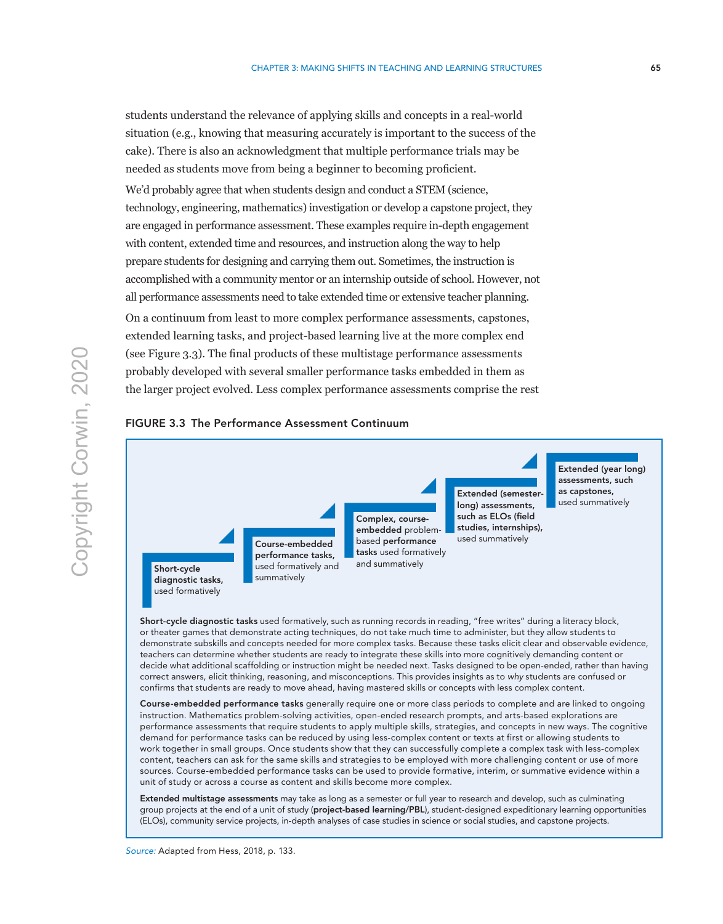students understand the relevance of applying skills and concepts in a real-world situation (e.g., knowing that measuring accurately is important to the success of the cake). There is also an acknowledgment that multiple performance trials may be needed as students move from being a beginner to becoming proficient.

We'd probably agree that when students design and conduct a STEM (science, technology, engineering, mathematics) investigation or develop a capstone project, they are engaged in performance assessment. These examples require in-depth engagement with content, extended time and resources, and instruction along the way to help prepare students for designing and carrying them out. Sometimes, the instruction is accomplished with a community mentor or an internship outside of school. However, not all performance assessments need to take extended time or extensive teacher planning.

On a continuum from least to more complex performance assessments, capstones, extended learning tasks, and project-based learning live at the more complex end (see Figure 3.3). The final products of these multistage performance assessments probably developed with several smaller performance tasks embedded in them as the larger project evolved. Less complex performance assessments comprise the rest



FIGURE 3.3 The Performance Assessment Continuum

Short-cycle diagnostic tasks used formatively, such as running records in reading, "free writes" during a literacy block, or theater games that demonstrate acting techniques, do not take much time to administer, but they allow students to demonstrate subskills and concepts needed for more complex tasks. Because these tasks elicit clear and observable evidence, teachers can determine whether students are ready to integrate these skills into more cognitively demanding content or decide what additional scaffolding or instruction might be needed next. Tasks designed to be open-ended, rather than having correct answers, elicit thinking, reasoning, and misconceptions. This provides insights as to *why* students are confused or confirms that students are ready to move ahead, having mastered skills or concepts with less complex content.

Course-embedded performance tasks generally require one or more class periods to complete and are linked to ongoing instruction. Mathematics problem-solving activities, open-ended research prompts, and arts-based explorations are performance assessments that require students to apply multiple skills, strategies, and concepts in new ways. The cognitive demand for performance tasks can be reduced by using less-complex content or texts at first or allowing students to work together in small groups. Once students show that they can successfully complete a complex task with less-complex content, teachers can ask for the same skills and strategies to be employed with more challenging content or use of more sources. Course-embedded performance tasks can be used to provide formative, interim, or summative evidence within a unit of study or across a course as content and skills become more complex.

Extended multistage assessments may take as long as a semester or full year to research and develop, such as culminating group projects at the end of a unit of study (project-based learning/PBL), student-designed expeditionary learning opportunities (ELOs), community service projects, in-depth analyses of case studies in science or social studies, and capstone projects.